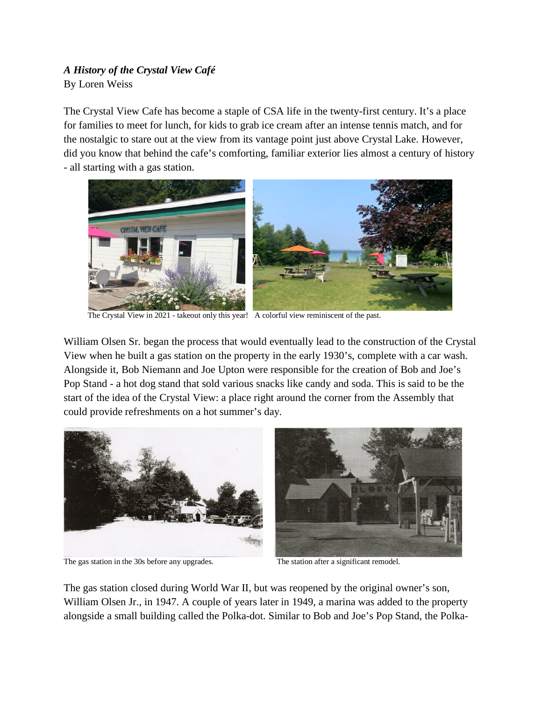## *A History of the Crystal View Café* By Loren Weiss

The Crystal View Cafe has become a staple of CSA life in the twenty-first century. It's a place for families to meet for lunch, for kids to grab ice cream after an intense tennis match, and for the nostalgic to stare out at the view from its vantage point just above Crystal Lake. However, did you know that behind the cafe's comforting, familiar exterior lies almost a century of history - all starting with a gas station.



The Crystal View in 2021 - takeout only this year! A colorful view reminiscent of the past.

William Olsen Sr. began the process that would eventually lead to the construction of the Crystal View when he built a gas station on the property in the early 1930's, complete with a car wash. Alongside it, Bob Niemann and Joe Upton were responsible for the creation of Bob and Joe's Pop Stand - a hot dog stand that sold various snacks like candy and soda. This is said to be the start of the idea of the Crystal View: a place right around the corner from the Assembly that could provide refreshments on a hot summer's day.



The gas station in the 30s before any upgrades. The station after a significant remodel.



The gas station closed during World War II, but was reopened by the original owner's son, William Olsen Jr., in 1947. A couple of years later in 1949, a marina was added to the property alongside a small building called the Polka-dot. Similar to Bob and Joe's Pop Stand, the Polka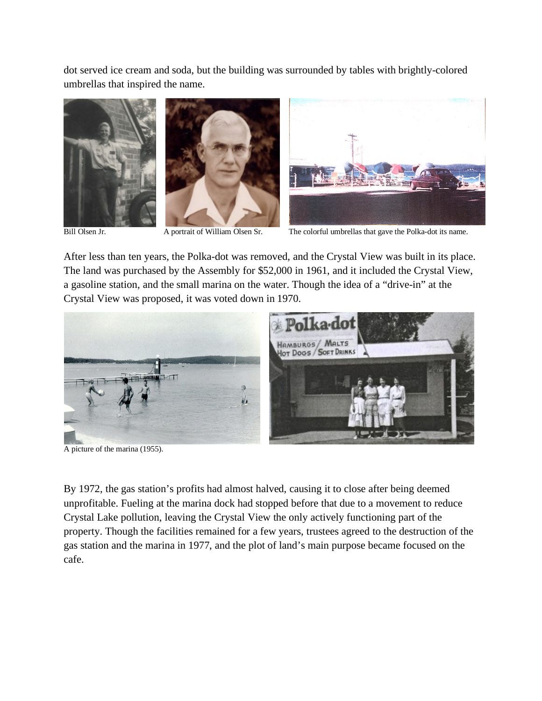dot served ice cream and soda, but the building was surrounded by tables with brightly-colored umbrellas that inspired the name.







Bill Olsen Jr. A portrait of William Olsen Sr. The colorful umbrellas that gave the Polka-dot its name.

After less than ten years, the Polka-dot was removed, and the Crystal View was built in its place. The land was purchased by the Assembly for \$52,000 in 1961, and it included the Crystal View, a gasoline station, and the small marina on the water. Though the idea of a "drive-in" at the Crystal View was proposed, it was voted down in 1970.



A picture of the marina (1955).

By 1972, the gas station's profits had almost halved, causing it to close after being deemed unprofitable. Fueling at the marina dock had stopped before that due to a movement to reduce Crystal Lake pollution, leaving the Crystal View the only actively functioning part of the property. Though the facilities remained for a few years, trustees agreed to the destruction of the gas station and the marina in 1977, and the plot of land's main purpose became focused on the cafe.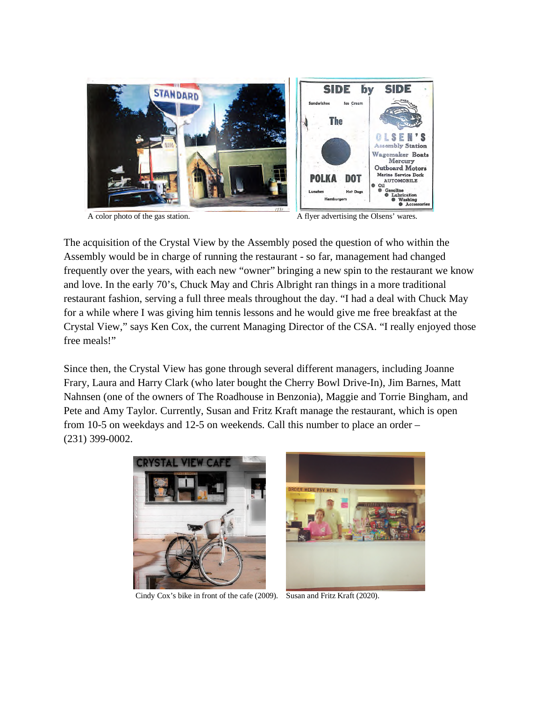

A color photo of the gas station. A flyer advertising the Olsens' wares.

The acquisition of the Crystal View by the Assembly posed the question of who within the Assembly would be in charge of running the restaurant - so far, management had changed frequently over the years, with each new "owner" bringing a new spin to the restaurant we know and love. In the early 70's, Chuck May and Chris Albright ran things in a more traditional restaurant fashion, serving a full three meals throughout the day. "I had a deal with Chuck May for a while where I was giving him tennis lessons and he would give me free breakfast at the Crystal View," says Ken Cox, the current Managing Director of the CSA. "I really enjoyed those free meals!"

Since then, the Crystal View has gone through several different managers, including Joanne Frary, Laura and Harry Clark (who later bought the Cherry Bowl Drive-In), Jim Barnes, Matt Nahnsen (one of the owners of The Roadhouse in Benzonia), Maggie and Torrie Bingham, and Pete and Amy Taylor. Currently, Susan and Fritz Kraft manage the restaurant, which is open from 10-5 on weekdays and 12-5 on weekends. Call this number to place an order – (231) 399-0002.



Cindy Cox's bike in front of the cafe (2009). Susan and Fritz Kraft (2020).